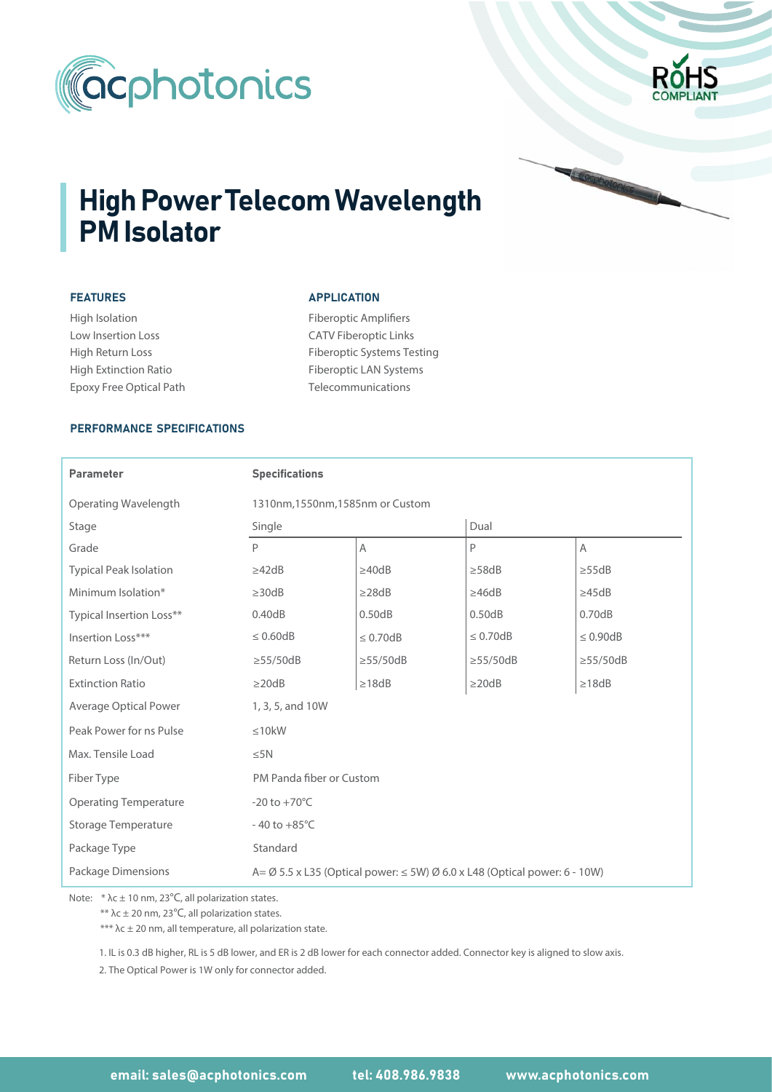



# High Power Telecom Wavelength PM Isolator

## FEATURES

High Isolation Low Insertion Loss High Return Loss High Extinction Ratio Epoxy Free Optical Path

### **APPLICATION**

Fiberoptic Amplifiers CATV Fiberoptic Links Fiberoptic Systems Testing Fiberoptic LAN Systems Telecommunications

#### PERFORMANCE SPECIFICATIONS

| <b>Parameter</b>              | <b>Specifications</b>                                                     |                |                |                |  |  |  |  |
|-------------------------------|---------------------------------------------------------------------------|----------------|----------------|----------------|--|--|--|--|
| Operating Wavelength          | 1310nm, 1550nm, 1585nm or Custom                                          |                |                |                |  |  |  |  |
| Stage                         | Single                                                                    |                | Dual           |                |  |  |  |  |
| Grade                         | P                                                                         | A              | P              | Α              |  |  |  |  |
| <b>Typical Peak Isolation</b> | $\geq$ 42dB                                                               | $\geq 40dB$    | $\geq$ 58dB    | $\geq$ 55dB    |  |  |  |  |
| Minimum Isolation*            | $\geq$ 30dB                                                               | $\geq$ 28dB    | $\geq 46dB$    | $\geq$ 45dB    |  |  |  |  |
| Typical Insertion Loss**      | 0.40dB                                                                    | 0.50dB         | 0.50dB         | 0.70dB         |  |  |  |  |
| Insertion Loss***             | $\leq 0.60$ dB                                                            | $\leq 0.70$ dB | $\leq 0.70dB$  | $\leq 0.90dB$  |  |  |  |  |
| Return Loss (In/Out)          | $\geq$ 55/50dB                                                            | $\geq$ 55/50dB | $\geq$ 55/50dB | $\geq$ 55/50dB |  |  |  |  |
| <b>Extinction Ratio</b>       | $\geq$ 20dB                                                               | $\geq$ 18dB    | $\geq$ 20dB    | $\geq$ 18dB    |  |  |  |  |
| Average Optical Power         | 1, 3, 5, and 10W                                                          |                |                |                |  |  |  |  |
| Peak Power for ns Pulse       | $\leq 10$ kW                                                              |                |                |                |  |  |  |  |
| Max. Tensile Load             | $\leq$ 5N                                                                 |                |                |                |  |  |  |  |
| Fiber Type                    | PM Panda fiber or Custom                                                  |                |                |                |  |  |  |  |
| <b>Operating Temperature</b>  | $-20$ to $+70^{\circ}$ C                                                  |                |                |                |  |  |  |  |
| Storage Temperature           | $-40$ to $+85^{\circ}$ C                                                  |                |                |                |  |  |  |  |
| Package Type                  | Standard                                                                  |                |                |                |  |  |  |  |
| <b>Package Dimensions</b>     | A= Ø 5.5 x L35 (Optical power: ≤ 5W) Ø 6.0 x L48 (Optical power: 6 - 10W) |                |                |                |  |  |  |  |

Note: \* λc ± 10 nm, 23°C, all polarization states.

\*\*  $\lambda$ c ± 20 nm, 23°C, all polarization states.

\*\*\* λc ± 20 nm, all temperature, all polarization state.

1. IL is 0.3 dB higher, RL is 5 dB lower, and ER is 2 dB lower for each connector added. Connector key is aligned to slow axis.

2. The Optical Power is 1W only for connector added.